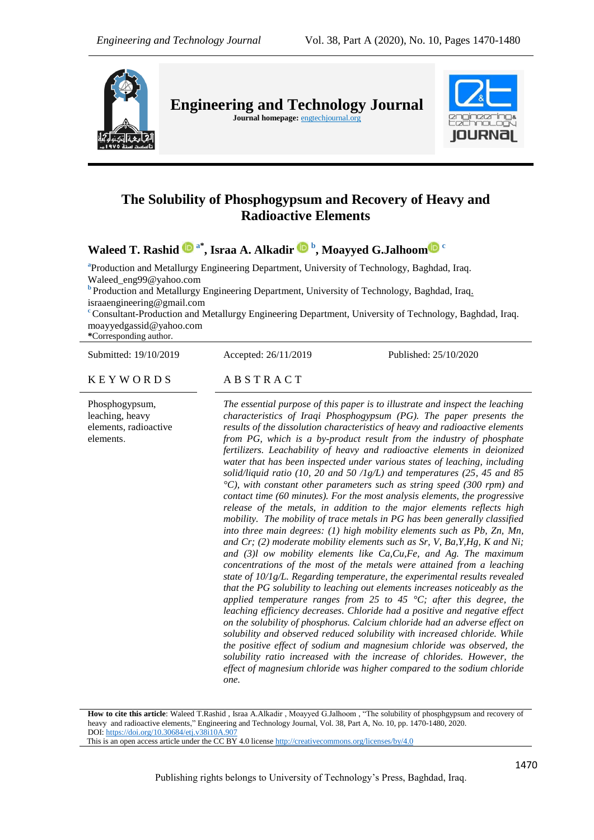

# **The Solubility of Phosphogypsum and Recovery of Heavy and Radioactive Elements**

**Waleed T. Rashid a\* , Israa A. Alkadir <sup>b</sup> , Moayyed G.Jalhoo[m](https://orcid.org/0000-0002-4324-6161) <sup>c</sup>**

**a** Production and Metallurgy Engineering Department, University of Technology, Baghdad, Iraq. [Waleed\\_eng99@yahoo.com](mailto:Waleed_eng99@yahoo.com)

**b** Production and Metallurgy Engineering Department, University of Technology, Baghdad, Iraq. israaengineering@gmail.com

**<sup>c</sup>** Consultant-Production and Metallurgy Engineering Department, University of Technology, Baghdad, Iraq. [moayyedgassid@yahoo.com](mailto:moayyedgassid@yahoo.com)

**\***Corresponding author.

Submitted: 19/10/2019 Accepted: 26/11/2019 Published: 25/10/2020

# $K E Y W O R D S$   $AB S T R A C T$

Phosphogypsum, leaching, heavy elements, radioactive elements.

*The essential purpose of this paper is to illustrate and inspect the leaching characteristics of Iraqi Phosphogypsum (PG). The paper presents the results of the dissolution characteristics of heavy and radioactive elements from PG, which is a by-product result from the industry of phosphate fertilizers. Leachability of heavy and radioactive elements in deionized water that has been inspected under various states of leaching, including solid/liquid ratio (10, 20 and 50 /1g/L) and temperatures (25, 45 and 85 °C), with constant other parameters such as string speed (300 rpm) and contact time (60 minutes). For the most analysis elements, the progressive release of the metals, in addition to the major elements reflects high mobility. The mobility of trace metals in PG has been generally classified into three main degrees: (1) high mobility elements such as Pb, Zn, Mn, and Cr; (2) moderate mobility elements such as Sr, V, Ba,Y,Hg, K and Ni; and (3)l ow mobility elements like Ca,Cu,Fe, and Ag. The maximum concentrations of the most of the metals were attained from a leaching state of 10/1g/L. Regarding temperature, the experimental results revealed that the PG solubility to leaching out elements increases noticeably as the applied temperature ranges from 25 to 45 °C; after this degree, the leaching efficiency decreases. Chloride had a positive and negative effect on the solubility of phosphorus. Calcium chloride had an adverse effect on solubility and observed reduced solubility with increased chloride. While the positive effect of sodium and magnesium chloride was observed, the solubility ratio increased with the increase of chlorides. However, the effect of magnesium chloride was higher compared to the sodium chloride one.*

**How to cite this article**: Waleed T.Rashid , Israa A.Alkadir , Moayyed G.Jalhoom , "The solubility of phosphgypsum and recovery of heavy and radioactive elements," Engineering and Technology Journal, Vol. 38, Part A, No. 10, pp. 1470-1480, 2020. DOI: <https://doi.org/10.30684/etj.v38i10A.907>

This is an open access article under the CC BY 4.0 licens[e http://creativecommons.org/licenses/by/4.0](http://creativecommons.org/licenses/by/4.0)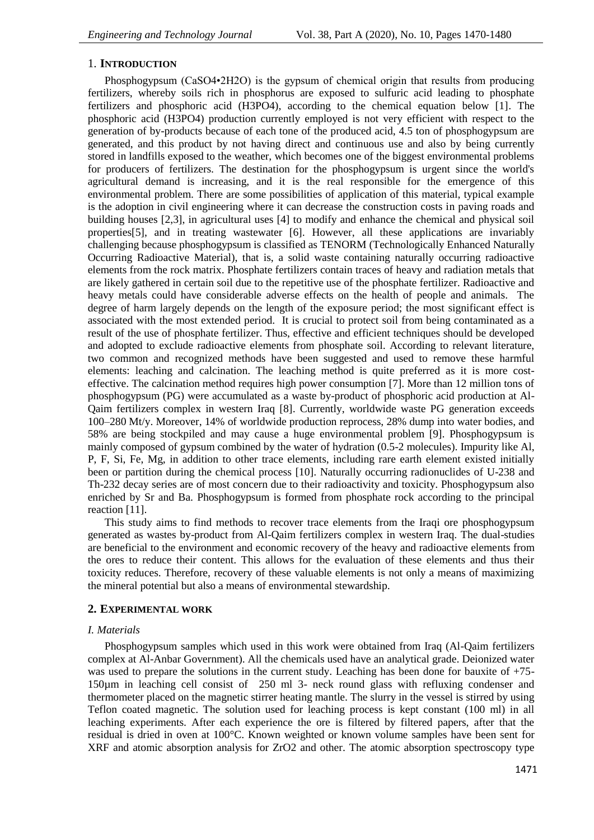# 1. **INTRODUCTION**

Phosphogypsum (CaSO4•2H2O) is the gypsum of chemical origin that results from producing fertilizers, whereby soils rich in phosphorus are exposed to sulfuric acid leading to phosphate fertilizers and phosphoric acid (H3PO4), according to the chemical equation below [1]. The phosphoric acid (H3PO4) production currently employed is not very efficient with respect to the generation of by-products because of each tone of the produced acid, 4.5 ton of phosphogypsum are generated, and this product by not having direct and continuous use and also by being currently stored in landfills exposed to the weather, which becomes one of the biggest environmental problems for producers of fertilizers. The destination for the phosphogypsum is urgent since the world's agricultural demand is increasing, and it is the real responsible for the emergence of this environmental problem. There are some possibilities of application of this material, typical example is the adoption in civil engineering where it can decrease the construction costs in paving roads and building houses [2,3], in agricultural uses [4] to modify and enhance the chemical and physical soil properties[5], and in treating wastewater [6]. However, all these applications are invariably challenging because phosphogypsum is classified as TENORM (Technologically Enhanced Naturally Occurring Radioactive Material), that is, a solid waste containing naturally occurring radioactive elements from the rock matrix. Phosphate fertilizers contain traces of heavy and radiation metals that are likely gathered in certain soil due to the repetitive use of the phosphate fertilizer. Radioactive and heavy metals could have considerable adverse effects on the health of people and animals. The degree of harm largely depends on the length of the exposure period; the most significant effect is associated with the most extended period. It is crucial to protect soil from being contaminated as a result of the use of phosphate fertilizer. Thus, effective and efficient techniques should be developed and adopted to exclude radioactive elements from phosphate soil. According to relevant literature, two common and recognized methods have been suggested and used to remove these harmful elements: leaching and calcination. The leaching method is quite preferred as it is more costeffective. The calcination method requires high power consumption [7]. More than 12 million tons of phosphogypsum (PG) were accumulated as a waste by-product of phosphoric acid production at Al-Qaim fertilizers complex in western Iraq [8]. Currently, worldwide waste PG generation exceeds 100–280 Mt/y. Moreover, 14% of worldwide production reprocess, 28% dump into water bodies, and 58% are being stockpiled and may cause a huge environmental problem [9]. Phosphogypsum is mainly composed of gypsum combined by the water of hydration (0.5-2 molecules). Impurity like Al, P, F, Si, Fe, Mg, in addition to other trace elements, including rare earth element existed initially been or partition during the chemical process [10]. Naturally occurring radionuclides of U-238 and Th-232 decay series are of most concern due to their radioactivity and toxicity. Phosphogypsum also enriched by Sr and Ba. Phosphogypsum is formed from phosphate rock according to the principal reaction [11].

This study aims to find methods to recover trace elements from the Iraqi ore phosphogypsum generated as wastes by-product from Al-Qaim fertilizers complex in western Iraq. The dual-studies are beneficial to the environment and economic recovery of the heavy and radioactive elements from the ores to reduce their content. This allows for the evaluation of these elements and thus their toxicity reduces. Therefore, recovery of these valuable elements is not only a means of maximizing the mineral potential but also a means of environmental stewardship.

## **2. EXPERIMENTAL WORK**

# *I. Materials*

Phosphogypsum samples which used in this work were obtained from Iraq (Al-Qaim fertilizers complex at Al-Anbar Government). All the chemicals used have an analytical grade. Deionized water was used to prepare the solutions in the current study. Leaching has been done for bauxite of  $+75$ -150µm in leaching cell consist of 250 ml 3- neck round glass with refluxing condenser and thermometer placed on the magnetic stirrer heating mantle. The slurry in the vessel is stirred by using Teflon coated magnetic. The solution used for leaching process is kept constant (100 ml) in all leaching experiments. After each experience the ore is filtered by filtered papers, after that the residual is dried in oven at 100°C. Known weighted or known volume samples have been sent for XRF and atomic absorption analysis for ZrO2 and other. The atomic absorption spectroscopy type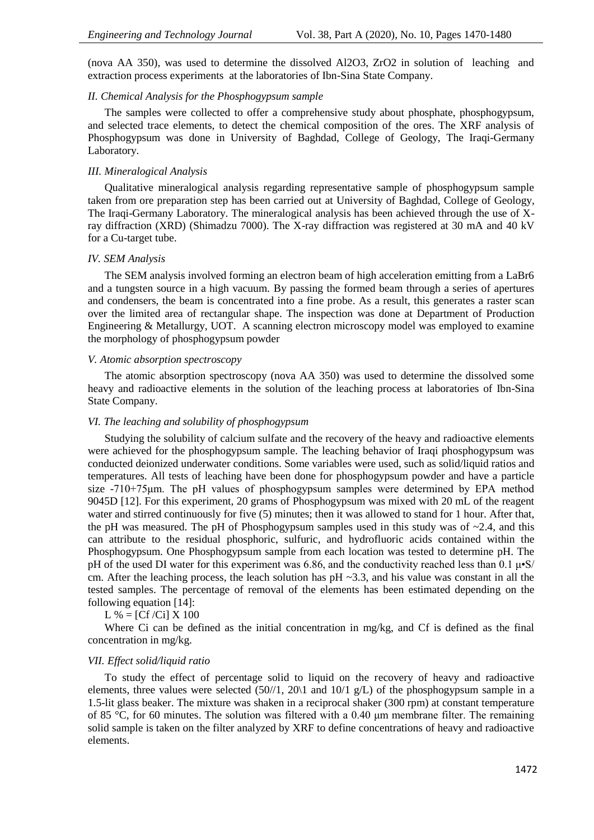(nova AA 350), was used to determine the dissolved Al2O3, ZrO2 in solution of leaching and extraction process experiments at the laboratories of Ibn-Sina State Company.

# *II. Chemical Analysis for the Phosphogypsum sample*

The samples were collected to offer a comprehensive study about phosphate, phosphogypsum, and selected trace elements, to detect the chemical composition of the ores. The XRF analysis of Phosphogypsum was done in University of Baghdad, College of Geology, The Iraqi-Germany Laboratory.

### *III. Mineralogical Analysis*

Qualitative mineralogical analysis regarding representative sample of phosphogypsum sample taken from ore preparation step has been carried out at University of Baghdad, College of Geology, The Iraqi-Germany Laboratory. The mineralogical analysis has been achieved through the use of Xray diffraction (XRD) (Shimadzu 7000). The X-ray diffraction was registered at 30 mA and 40 kV for a Cu-target tube.

#### *IV. SEM Analysis*

The SEM analysis involved forming an electron beam of high acceleration emitting from a LaBr6 and a tungsten source in a high vacuum. By passing the formed beam through a series of apertures and condensers, the beam is concentrated into a fine probe. As a result, this generates a raster scan over the limited area of rectangular shape. The inspection was done at Department of Production Engineering & Metallurgy, UOT. A scanning electron microscopy model was employed to examine the morphology of phosphogypsum powder

#### *V. Atomic absorption spectroscopy*

The atomic absorption spectroscopy (nova AA 350) was used to determine the dissolved some heavy and radioactive elements in the solution of the leaching process at laboratories of Ibn-Sina State Company.

#### *VI. The leaching and solubility of phosphogypsum*

Studying the solubility of calcium sulfate and the recovery of the heavy and radioactive elements were achieved for the phosphogypsum sample. The leaching behavior of Iraqi phosphogypsum was conducted deionized underwater conditions. Some variables were used, such as solid/liquid ratios and temperatures. All tests of leaching have been done for phosphogypsum powder and have a particle size -710+75μm. The pH values of phosphogypsum samples were determined by EPA method 9045D [12]. For this experiment, 20 grams of Phosphogypsum was mixed with 20 mL of the reagent water and stirred continuously for five (5) minutes; then it was allowed to stand for 1 hour. After that, the pH was measured. The pH of Phosphogypsum samples used in this study was of  $\sim$ 2.4, and this can attribute to the residual phosphoric, sulfuric, and hydrofluoric acids contained within the Phosphogypsum. One Phosphogypsum sample from each location was tested to determine pH. The pH of the used DI water for this experiment was 6.86, and the conductivity reached less than 0.1  $\mu$ •S/ cm. After the leaching process, the leach solution has  $pH \sim 3.3$ , and his value was constant in all the tested samples. The percentage of removal of the elements has been estimated depending on the following equation [14]:

 $L \% = [Cf/Ci] X 100$ 

Where Ci can be defined as the initial concentration in mg/kg, and Cf is defined as the final concentration in mg/kg.

# *VII. Effect solid/liquid ratio*

To study the effect of percentage solid to liquid on the recovery of heavy and radioactive elements, three values were selected (50//1, 20\1 and 10/1 g/L) of the phosphogypsum sample in a 1.5-lit glass beaker. The mixture was shaken in a reciprocal shaker (300 rpm) at constant temperature of 85 °C, for 60 minutes. The solution was filtered with a 0.40 μm membrane filter. The remaining solid sample is taken on the filter analyzed by XRF to define concentrations of heavy and radioactive elements.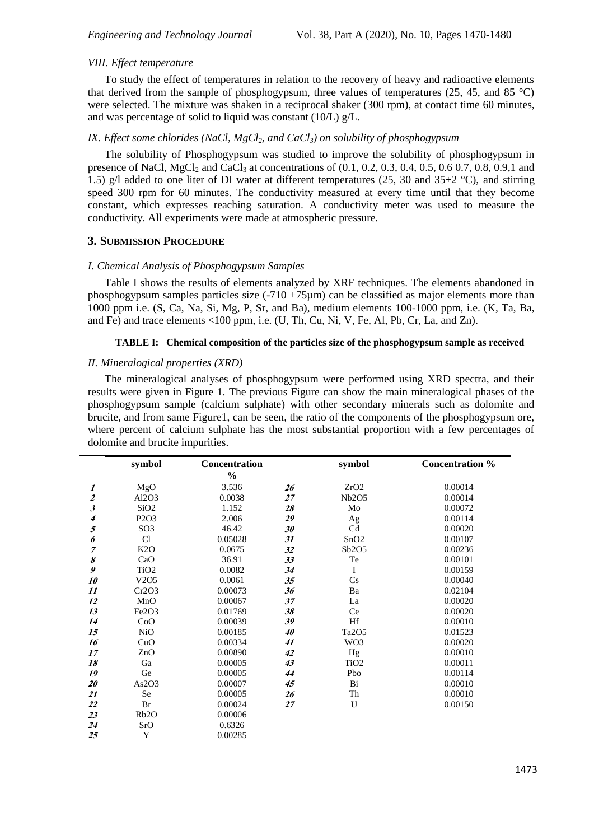# *VIII. Effect temperature*

To study the effect of temperatures in relation to the recovery of heavy and radioactive elements that derived from the sample of phosphogypsum, three values of temperatures  $(25, 45,$  and  $85 \degree C)$ were selected. The mixture was shaken in a reciprocal shaker (300 rpm), at contact time 60 minutes, and was percentage of solid to liquid was constant (10/L) g/L.

# *IX. Effect some chlorides (NaCl, MgCl2, and CaCl3) on solubility of phosphogypsum*

The solubility of Phosphogypsum was studied to improve the solubility of phosphogypsum in presence of NaCl, MgCl<sub>2</sub> and CaCl<sub>3</sub> at concentrations of  $(0.1, 0.2, 0.3, 0.4, 0.5, 0.6, 0.7, 0.8, 0.9, 1, 0.4)$ 1.5) g/l added to one liter of DI water at different temperatures (25, 30 and 35 $\pm$ 2 °C), and stirring speed 300 rpm for 60 minutes. The conductivity measured at every time until that they become constant, which expresses reaching saturation. A conductivity meter was used to measure the conductivity. All experiments were made at atmospheric pressure.

#### **3. SUBMISSION PROCEDURE**

#### *I. Chemical Analysis of Phosphogypsum Samples*

Table I shows the results of elements analyzed by XRF techniques. The elements abandoned in phosphogypsum samples particles size  $(-710 + 75\mu m)$  can be classified as major elements more than 1000 ppm i.e. (S, Ca, Na, Si, Mg, P, Sr, and Ba), medium elements 100-1000 ppm, i.e. (K, Ta, Ba, and Fe) and trace elements <100 ppm, i.e. (U, Th, Cu, Ni, V, Fe, Al, Pb, Cr, La, and Zn).

# **TABLE I: Chemical composition of the particles size of the phosphogypsum sample as received**

#### *II. Mineralogical properties (XRD)*

The mineralogical analyses of phosphogypsum were performed using XRD spectra, and their results were given in Figure 1. The previous Figure can show the main mineralogical phases of the phosphogypsum sample (calcium sulphate) with other secondary minerals such as dolomite and brucite, and from same Figure1, can be seen, the ratio of the components of the phosphogypsum ore, where percent of calcium sulphate has the most substantial proportion with a few percentages of dolomite and brucite impurities.

|                      | symbol                        | <b>Concentration</b> |    | symbol           | <b>Concentration %</b> |
|----------------------|-------------------------------|----------------------|----|------------------|------------------------|
|                      |                               | $\frac{0}{0}$        |    |                  |                        |
| $\boldsymbol{l}$     | MgO                           | 3.536                | 26 | ZrO2             | 0.00014                |
| $\boldsymbol{z}$     | Al2O3                         | 0.0038               | 27 | Nb2O5            | 0.00014                |
| $\boldsymbol{\beta}$ | SiO <sub>2</sub>              | 1.152                | 28 | Mo               | 0.00072                |
| 4                    | P <sub>2</sub> O <sub>3</sub> | 2.006                | 29 | Ag               | 0.00114                |
| $\sqrt{5}$           | SO <sub>3</sub>               | 46.42                | 30 | Cd               | 0.00020                |
| 6                    | Cl                            | 0.05028              | 31 | SnO2             | 0.00107                |
| $\overline{7}$       | K2O                           | 0.0675               | 32 | Sb2O5            | 0.00236                |
| 8                    | CaO                           | 36.91                | 33 | Te               | 0.00101                |
| 9                    | TiO <sub>2</sub>              | 0.0082               | 34 | I                | 0.00159                |
| 10                   | V <sub>2</sub> O <sub>5</sub> | 0.0061               | 35 | Cs               | 0.00040                |
| 11                   | Cr2O3                         | 0.00073              | 36 | Ba               | 0.02104                |
| 12                   | MnO                           | 0.00067              | 37 | La               | 0.00020                |
| 13                   | Fe2O3                         | 0.01769              | 38 | Ce               | 0.00020                |
| 14                   | CoO                           | 0.00039              | 39 | Hf               | 0.00010                |
| 15                   | <b>NiO</b>                    | 0.00185              | 40 | Ta2O5            | 0.01523                |
| 16                   | CuO                           | 0.00334              | 41 | WO <sub>3</sub>  | 0.00020                |
| 17                   | ZnO                           | 0.00890              | 42 | Hg               | 0.00010                |
| 18                   | Ga                            | 0.00005              | 43 | TiO <sub>2</sub> | 0.00011                |
| 19                   | Ge                            | 0.00005              | 44 | Pbo              | 0.00114                |
| 20                   | As2O3                         | 0.00007              | 45 | Bi               | 0.00010                |
| 21                   | Se                            | 0.00005              | 26 | Th               | 0.00010                |
| 22                   | Br                            | 0.00024              | 27 | U                | 0.00150                |
| 23                   | Rb <sub>2</sub> O             | 0.00006              |    |                  |                        |
| 24                   | SrO                           | 0.6326               |    |                  |                        |
| 25                   | Y                             | 0.00285              |    |                  |                        |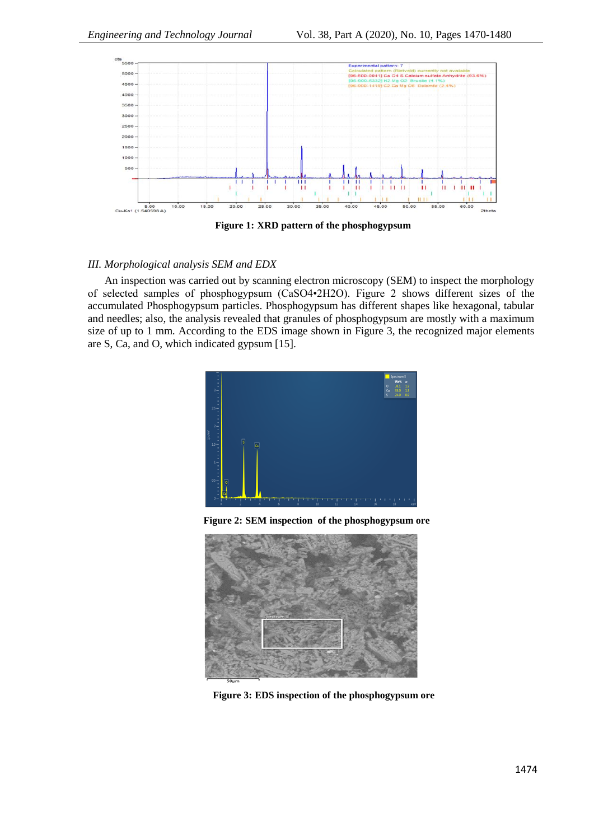

**Figure 1: XRD pattern of the phosphogypsum** 

# *III. Morphological analysis SEM and EDX*

An inspection was carried out by scanning electron microscopy (SEM) to inspect the morphology of selected samples of phosphogypsum (CaSO4•2H2O). Figure 2 shows different sizes of the accumulated Phosphogypsum particles. Phosphogypsum has different shapes like hexagonal, tabular and needles; also, the analysis revealed that granules of phosphogypsum are mostly with a maximum size of up to 1 mm. According to the EDS image shown in Figure 3, the recognized major elements are S, Ca, and O, which indicated gypsum [15].



**Figure 2: SEM inspection of the phosphogypsum ore**



**Figure 3: EDS inspection of the phosphogypsum ore**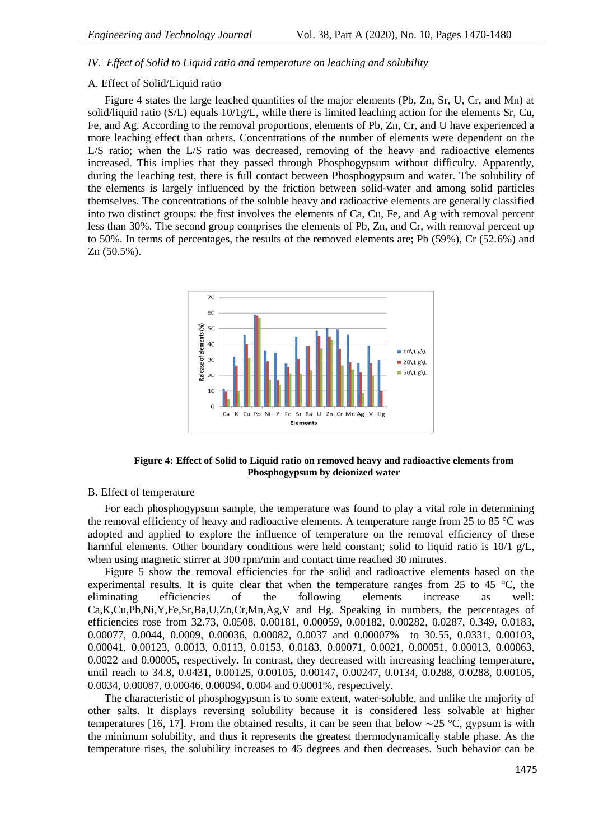# *IV. Effect of Solid to Liquid ratio and temperature on leaching and solubility*

# A. Effect of Solid/Liquid ratio

Figure 4 states the large leached quantities of the major elements (Pb, Zn, Sr, U, Cr, and Mn) at solid/liquid ratio (S/L) equals  $10/1g/L$ , while there is limited leaching action for the elements Sr, Cu, Fe, and Ag. According to the removal proportions, elements of Pb, Zn, Cr, and U have experienced a more leaching effect than others. Concentrations of the number of elements were dependent on the L/S ratio; when the L/S ratio was decreased, removing of the heavy and radioactive elements increased. This implies that they passed through Phosphogypsum without difficulty. Apparently, during the leaching test, there is full contact between Phosphogypsum and water. The solubility of the elements is largely influenced by the friction between solid-water and among solid particles themselves. The concentrations of the soluble heavy and radioactive elements are generally classified into two distinct groups: the first involves the elements of Ca, Cu, Fe, and Ag with removal percent less than 30%. The second group comprises the elements of Pb, Zn, and Cr, with removal percent up to 50%. In terms of percentages, the results of the removed elements are; Pb (59%), Cr (52.6%) and Zn (50.5%).



# **Figure 4: Effect of Solid to Liquid ratio on removed heavy and radioactive elements from Phosphogypsum by deionized water**

#### B. Effect of temperature

For each phosphogypsum sample, the temperature was found to play a vital role in determining the removal efficiency of heavy and radioactive elements. A temperature range from 25 to 85 °C was adopted and applied to explore the influence of temperature on the removal efficiency of these harmful elements. Other boundary conditions were held constant; solid to liquid ratio is 10/1 g/L, when using magnetic stirrer at 300 rpm/min and contact time reached 30 minutes.

Figure 5 show the removal efficiencies for the solid and radioactive elements based on the experimental results. It is quite clear that when the temperature ranges from 25 to 45 °C, the eliminating efficiencies of the following elements increase as well: Ca,K,Cu,Pb,Ni,Y,Fe,Sr,Ba,U,Zn,Cr,Mn,Ag,V and Hg. Speaking in numbers, the percentages of efficiencies rose from 32.73, 0.0508, 0.00181, 0.00059, 0.00182, 0.00282, 0.0287, 0.349, 0.0183, 0.00077, 0.0044, 0.0009, 0.00036, 0.00082, 0.0037 and 0.00007% to 30.55, 0.0331, 0.00103, 0.00041, 0.00123, 0.0013, 0.0113, 0.0153, 0.0183, 0.00071, 0.0021, 0.00051, 0.00013, 0.00063, 0.0022 and 0.00005, respectively. In contrast, they decreased with increasing leaching temperature, until reach to 34.8, 0.0431, 0.00125, 0.00105, 0.00147, 0.00247, 0.0134, 0.0288, 0.0288, 0.00105, 0.0034, 0.00087, 0.00046, 0.00094, 0.004 and 0.0001%, respectively.

The characteristic of phosphogypsum is to some extent, water-soluble, and unlike the majority of other salts. It displays reversing solubility because it is considered less solvable at higher temperatures [16, 17]. From the obtained results, it can be seen that below ∼25 °C, gypsum is with the minimum solubility, and thus it represents the greatest thermodynamically stable phase. As the temperature rises, the solubility increases to 45 degrees and then decreases. Such behavior can be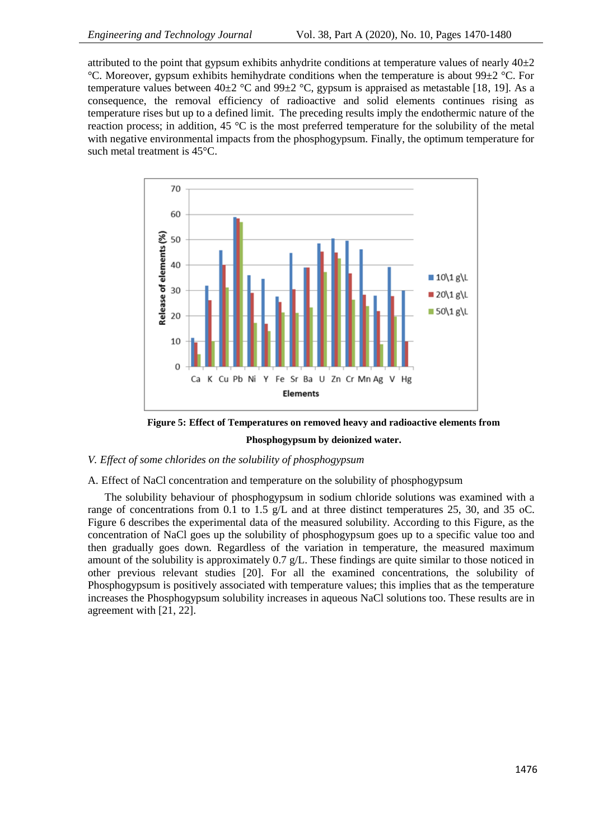attributed to the point that gypsum exhibits anhydrite conditions at temperature values of nearly  $40\pm 2$ °C. Moreover, gypsum exhibits hemihydrate conditions when the temperature is about 99 $\pm$ 2 °C. For temperature values between  $40\pm2$  °C and  $99\pm2$  °C, gypsum is appraised as metastable [18, 19]. As a consequence, the removal efficiency of radioactive and solid elements continues rising as temperature rises but up to a defined limit. The preceding results imply the endothermic nature of the reaction process; in addition, 45  $\degree$ C is the most preferred temperature for the solubility of the metal with negative environmental impacts from the phosphogypsum. Finally, the optimum temperature for such metal treatment is 45°C.



**Figure 5: Effect of Temperatures on removed heavy and radioactive elements from Phosphogypsum by deionized water.**

# *V. Effect of some chlorides on the solubility of phosphogypsum*

# A. Effect of NaCl concentration and temperature on the solubility of phosphogypsum

The solubility behaviour of phosphogypsum in sodium chloride solutions was examined with a range of concentrations from 0.1 to 1.5  $g/L$  and at three distinct temperatures 25, 30, and 35 oC. Figure 6 describes the experimental data of the measured solubility. According to this Figure, as the concentration of NaCl goes up the solubility of phosphogypsum goes up to a specific value too and then gradually goes down. Regardless of the variation in temperature, the measured maximum amount of the solubility is approximately 0.7 g/L. These findings are quite similar to those noticed in other previous relevant studies [20]. For all the examined concentrations, the solubility of Phosphogypsum is positively associated with temperature values; this implies that as the temperature increases the Phosphogypsum solubility increases in aqueous NaCl solutions too. These results are in agreement with [21, 22].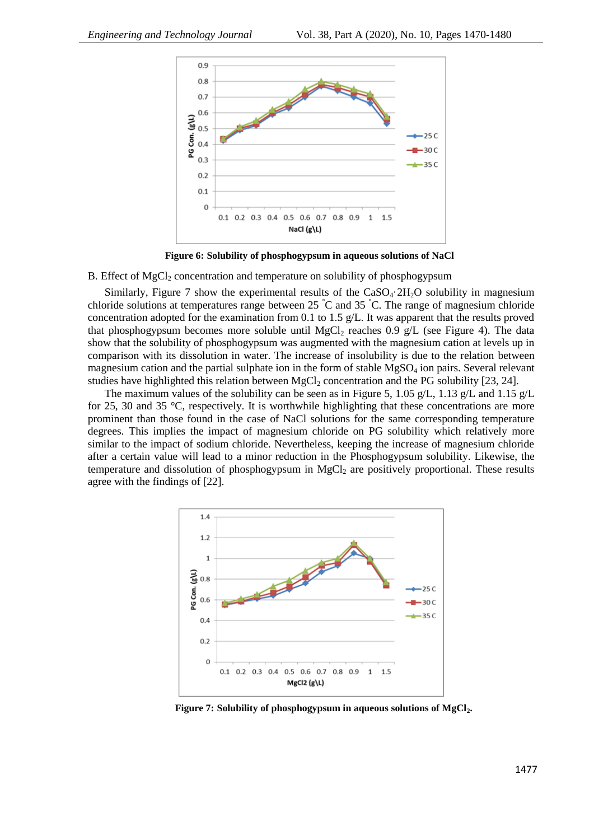

**Figure 6: Solubility of phosphogypsum in aqueous solutions of NaCl**

B. Effect of MgCl<sub>2</sub> concentration and temperature on solubility of phosphogypsum

Similarly, Figure 7 show the experimental results of the  $CaSO<sub>4</sub>·2H<sub>2</sub>O$  solubility in magnesium chloride solutions at temperatures range between 25 °C and 35 °C. The range of magnesium chloride concentration adopted for the examination from 0.1 to 1.5 g/L. It was apparent that the results proved that phosphogypsum becomes more soluble until MgCl<sub>2</sub> reaches 0.9 g/L (see Figure 4). The data show that the solubility of phosphogypsum was augmented with the magnesium cation at levels up in comparison with its dissolution in water. The increase of insolubility is due to the relation between magnesium cation and the partial sulphate ion in the form of stable  $MgSO<sub>4</sub>$  ion pairs. Several relevant studies have highlighted this relation between  $MgCl<sub>2</sub>$  concentration and the PG solubility [23, 24].

The maximum values of the solubility can be seen as in Figure 5, 1.05 g/L, 1.13 g/L and 1.15 g/L for 25, 30 and 35 °C, respectively. It is worthwhile highlighting that these concentrations are more prominent than those found in the case of NaCl solutions for the same corresponding temperature degrees. This implies the impact of magnesium chloride on PG solubility which relatively more similar to the impact of sodium chloride. Nevertheless, keeping the increase of magnesium chloride after a certain value will lead to a minor reduction in the Phosphogypsum solubility. Likewise, the temperature and dissolution of phosphogypsum in  $MgCl<sub>2</sub>$  are positively proportional. These results agree with the findings of [22].



**Figure 7: Solubility of phosphogypsum in aqueous solutions of MgCl2.**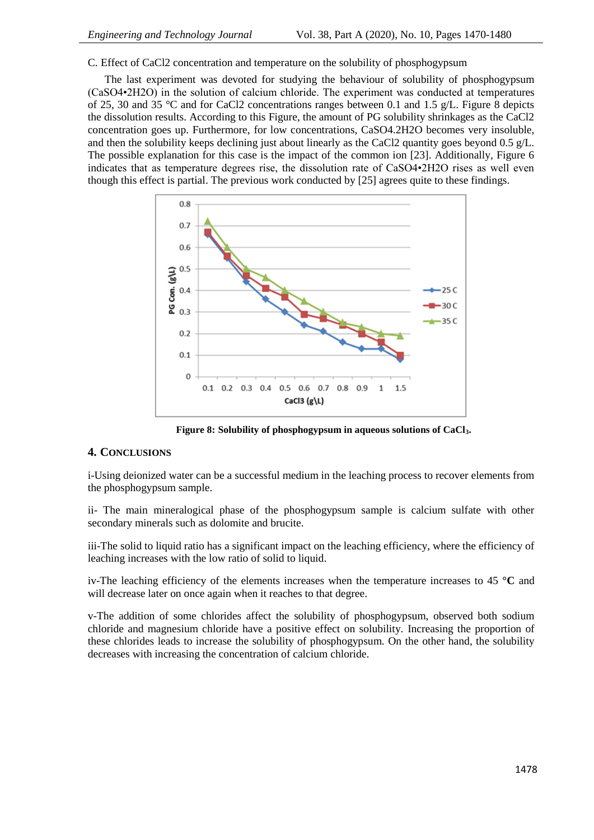C. Effect of CaCl2 concentration and temperature on the solubility of phosphogypsum

The last experiment was devoted for studying the behaviour of solubility of phosphogypsum (CaSO4•2H2O) in the solution of calcium chloride. The experiment was conducted at temperatures of 25, 30 and 35 °C and for CaCl2 concentrations ranges between 0.1 and 1.5  $g/L$ . Figure 8 depicts the dissolution results. According to this Figure, the amount of PG solubility shrinkages as the CaCl2 concentration goes up. Furthermore, for low concentrations, CaSO4.2H2O becomes very insoluble, and then the solubility keeps declining just about linearly as the CaCl2 quantity goes beyond 0.5 g/L. The possible explanation for this case is the impact of the common ion [23]. Additionally, Figure 6 indicates that as temperature degrees rise, the dissolution rate of CaSO4•2H2O rises as well even though this effect is partial. The previous work conducted by [25] agrees quite to these findings.



**Figure 8: Solubility of phosphogypsum in aqueous solutions of CaCl3.**

# **4. CONCLUSIONS**

i-Using deionized water can be a successful medium in the leaching process to recover elements from the phosphogypsum sample.

ii- The main mineralogical phase of the phosphogypsum sample is calcium sulfate with other secondary minerals such as dolomite and brucite.

iii-The solid to liquid ratio has a significant impact on the leaching efficiency, where the efficiency of leaching increases with the low ratio of solid to liquid.

iv-The leaching efficiency of the elements increases when the temperature increases to 45 **°C** and will decrease later on once again when it reaches to that degree.

v-The addition of some chlorides affect the solubility of phosphogypsum, observed both sodium chloride and magnesium chloride have a positive effect on solubility. Increasing the proportion of these chlorides leads to increase the solubility of phosphogypsum. On the other hand, the solubility decreases with increasing the concentration of calcium chloride.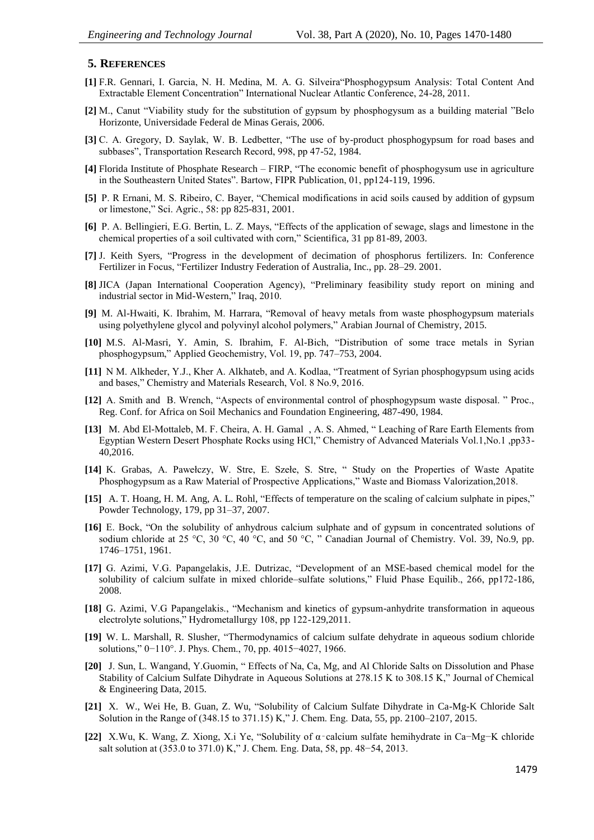#### **5. REFERENCES**

- **[1]** F.R. Gennari, I. Garcia, N. H. Medina, M. A. G. Silveira"Phosphogypsum Analysis: Total Content And Extractable Element Concentration" International Nuclear Atlantic Conference, 24-28, 2011.
- **[2]** M., Canut "Viability study for the substitution of gypsum by phosphogysum as a building material "Belo Horizonte, Universidade Federal de Minas Gerais, 2006.
- **[3]** C. A. Gregory, D. Saylak, W. B. Ledbetter, "The use of by-product phosphogypsum for road bases and subbases", Transportation Research Record, 998, pp 47-52, 1984.
- **[4]** Florida Institute of Phosphate Research FIRP, "The economic benefit of phosphogysum use in agriculture in the Southeastern United States". Bartow, FIPR Publication, 01, pp124-119, 1996.
- **[5]** P. R Ernani, M. S. Ribeiro, C. Bayer, "Chemical modifications in acid soils caused by addition of gypsum or limestone," Sci. Agric., 58: pp 825-831, 2001.
- **[6]** P. A. Bellingieri, E.G. Bertin, L. Z. Mays, "Effects of the application of sewage, slags and limestone in the chemical properties of a soil cultivated with corn," Scientifica, 31 pp 81-89, 2003.
- **[7]** J. Keith Syers, "Progress in the development of decimation of phosphorus fertilizers. In: Conference Fertilizer in Focus, "Fertilizer Industry Federation of Australia, Inc., pp. 28–29. 2001.
- **[8]** JICA (Japan International Cooperation Agency), "Preliminary feasibility study report on mining and industrial sector in Mid-Western," Iraq, 2010.
- **[9]** M. Al-Hwaiti, K. Ibrahim, M. Harrara, "Removal of heavy metals from waste phosphogypsum materials using polyethylene glycol and polyvinyl alcohol polymers," Arabian Journal of Chemistry, 2015.
- **[10]** M.S. Al-Masri, Y. Amin, S. Ibrahim, F. Al-Bich, "Distribution of some trace metals in Syrian phosphogypsum," Applied Geochemistry, Vol. 19, pp. 747–753, 2004.
- **[11]** N M. Alkheder, Y.J., Kher A. Alkhateb, and A. Kodlaa, "Treatment of Syrian phosphogypsum using acids and bases," Chemistry and Materials Research, Vol. 8 No.9, 2016.
- **[12]** A. Smith and B. Wrench, "Aspects of environmental control of phosphogypsum waste disposal. " Proc., Reg. Conf. for Africa on Soil Mechanics and Foundation Engineering, 487-490, 1984.
- **[13]** M. Abd El-Mottaleb, M. F. Cheira, A. H. Gamal , A. S. Ahmed, " Leaching of Rare Earth Elements from Egyptian Western Desert Phosphate Rocks using HCl," Chemistry of Advanced Materials Vol.1,No.1 ,pp33- 40,2016.
- **[14]** K. Grabas, A. Pawełczy, W. Stre, E. Szełe, S. Stre, " Study on the Properties of Waste Apatite Phosphogypsum as a Raw Material of Prospective Applications," Waste and Biomass Valorization,2018.
- **[15]** A. T. Hoang, H. M. Ang, A. L. Rohl, "Effects of temperature on the scaling of calcium sulphate in pipes," Powder Technology, 179, pp 31–37, 2007.
- **[16]** E. Bock, "On the solubility of anhydrous calcium sulphate and of gypsum in concentrated solutions of sodium chloride at 25 °C, 30 °C, 40 °C, and 50 °C, " Canadian Journal of Chemistry. Vol. 39, No.9, pp. 1746–1751, 1961.
- **[17]** G. Azimi, V.G. Papangelakis, J.E. Dutrizac, "Development of an MSE-based chemical model for the solubility of calcium sulfate in mixed chloride–sulfate solutions," Fluid Phase Equilib., 266, pp172-186, 2008.
- **[18]** G. Azimi, V.G Papangelakis., "Mechanism and kinetics of gypsum-anhydrite transformation in aqueous electrolyte solutions," Hydrometallurgy 108, pp 122-129,2011.
- **[19]** W. L. Marshall, R. Slusher, "Thermodynamics of calcium sulfate dehydrate in aqueous sodium chloride solutions," 0−110°. J. Phys. Chem., 70, pp. 4015−4027, 1966.
- **[20]** J. Sun, L. Wangand, Y.Guomin, " Effects of Na, Ca, Mg, and Al Chloride Salts on Dissolution and Phase Stability of Calcium Sulfate Dihydrate in Aqueous Solutions at 278.15 K to 308.15 K," Journal of Chemical & Engineering Data, 2015.
- **[21]** X. W., Wei He, B. Guan, Z. Wu, "Solubility of Calcium Sulfate Dihydrate in Ca-Mg-K Chloride Salt Solution in the Range of (348.15 to 371.15) K," J. Chem. Eng. Data, 55, pp. 2100–2107, 2015.
- **[22]** X.Wu, K. Wang, Z. Xiong, X.i Ye, "Solubility of α‑calcium sulfate hemihydrate in Ca−Mg−K chloride salt solution at (353.0 to 371.0) K," J. Chem. Eng. Data, 58, pp. 48−54, 2013.